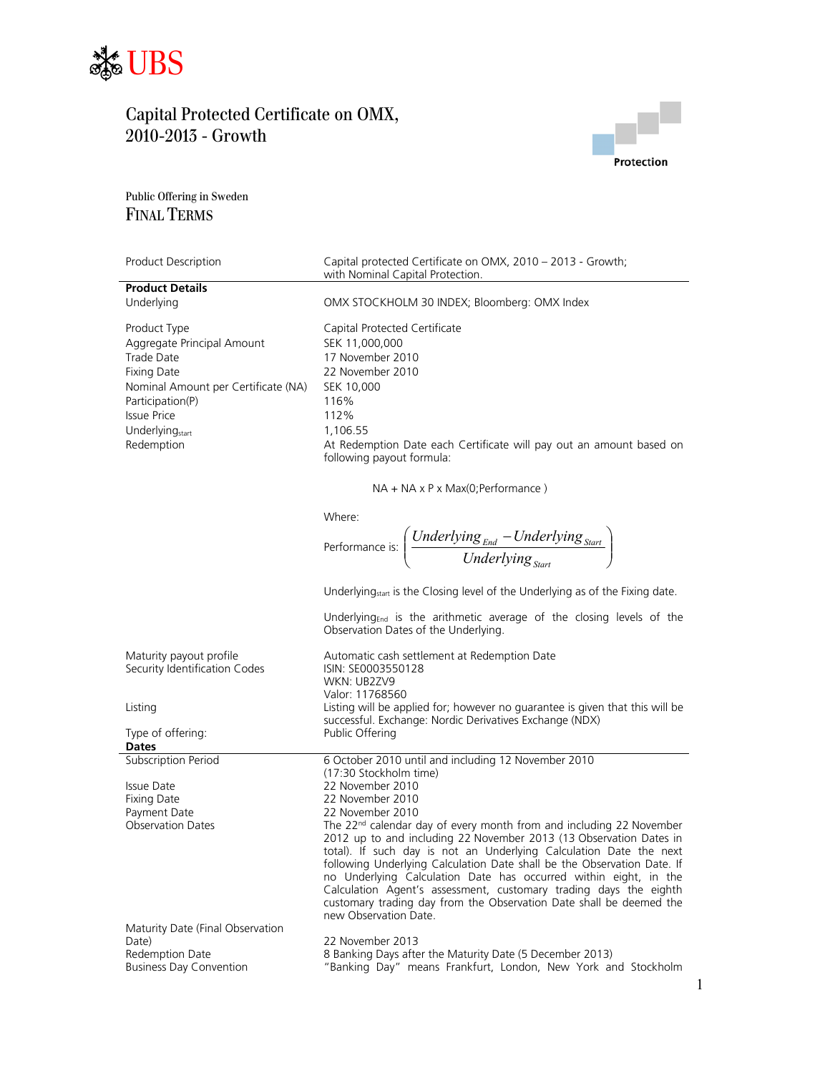



Public Offering in Sweden FINAL TERMS

| Product Description                 | Capital protected Certificate on OMX, 2010 - 2013 - Growth;<br>with Nominal Capital Protection.                                          |
|-------------------------------------|------------------------------------------------------------------------------------------------------------------------------------------|
| <b>Product Details</b>              |                                                                                                                                          |
| Underlying                          | OMX STOCKHOLM 30 INDEX; Bloomberg: OMX Index                                                                                             |
| Product Type                        | Capital Protected Certificate                                                                                                            |
| Aggregate Principal Amount          | SEK 11,000,000                                                                                                                           |
| <b>Trade Date</b>                   | 17 November 2010                                                                                                                         |
| <b>Fixing Date</b>                  | 22 November 2010                                                                                                                         |
| Nominal Amount per Certificate (NA) | SEK 10,000                                                                                                                               |
| Participation(P)                    | 116%                                                                                                                                     |
| <b>Issue Price</b>                  | 112%                                                                                                                                     |
| Underlying <sub>start</sub>         | 1,106.55                                                                                                                                 |
| Redemption                          | At Redemption Date each Certificate will pay out an amount based on                                                                      |
|                                     | following payout formula:                                                                                                                |
|                                     | $NA + NA \times P \times Max(O; Performance)$                                                                                            |
|                                     | Where:                                                                                                                                   |
|                                     |                                                                                                                                          |
|                                     | Performance is: $\left(\frac{Underlying_{End} - Underlying_{Start}}{Underlying_{start}}\right)$                                          |
|                                     | Underlying <sub>start</sub> is the Closing level of the Underlying as of the Fixing date.                                                |
|                                     | Underlying <sub>End</sub> is the arithmetic average of the closing levels of the<br>Observation Dates of the Underlying.                 |
| Maturity payout profile             | Automatic cash settlement at Redemption Date                                                                                             |
| Security Identification Codes       | ISIN: SE0003550128                                                                                                                       |
|                                     | WKN: UB2ZV9                                                                                                                              |
|                                     | Valor: 11768560                                                                                                                          |
| Listing                             | Listing will be applied for; however no guarantee is given that this will be<br>successful. Exchange: Nordic Derivatives Exchange (NDX)  |
| Type of offering:                   | Public Offering                                                                                                                          |
| Dates                               |                                                                                                                                          |
| Subscription Period                 | 6 October 2010 until and including 12 November 2010                                                                                      |
|                                     | (17:30 Stockholm time)                                                                                                                   |
| Issue Date<br><b>Fixing Date</b>    | 22 November 2010<br>22 November 2010                                                                                                     |
| Payment Date                        | 22 November 2010                                                                                                                         |
| <b>Observation Dates</b>            | The 22 <sup>nd</sup> calendar day of every month from and including 22 November                                                          |
|                                     | 2012 up to and including 22 November 2013 (13 Observation Dates in                                                                       |
|                                     | total). If such day is not an Underlying Calculation Date the next                                                                       |
|                                     | following Underlying Calculation Date shall be the Observation Date. If                                                                  |
|                                     | no Underlying Calculation Date has occurred within eight, in the                                                                         |
|                                     | Calculation Agent's assessment, customary trading days the eighth<br>customary trading day from the Observation Date shall be deemed the |
|                                     | new Observation Date.                                                                                                                    |
| Maturity Date (Final Observation    |                                                                                                                                          |
| Date)                               | 22 November 2013                                                                                                                         |
| Redemption Date                     | 8 Banking Days after the Maturity Date (5 December 2013)                                                                                 |
| <b>Business Day Convention</b>      | "Banking Day" means Frankfurt, London, New York and Stockholm                                                                            |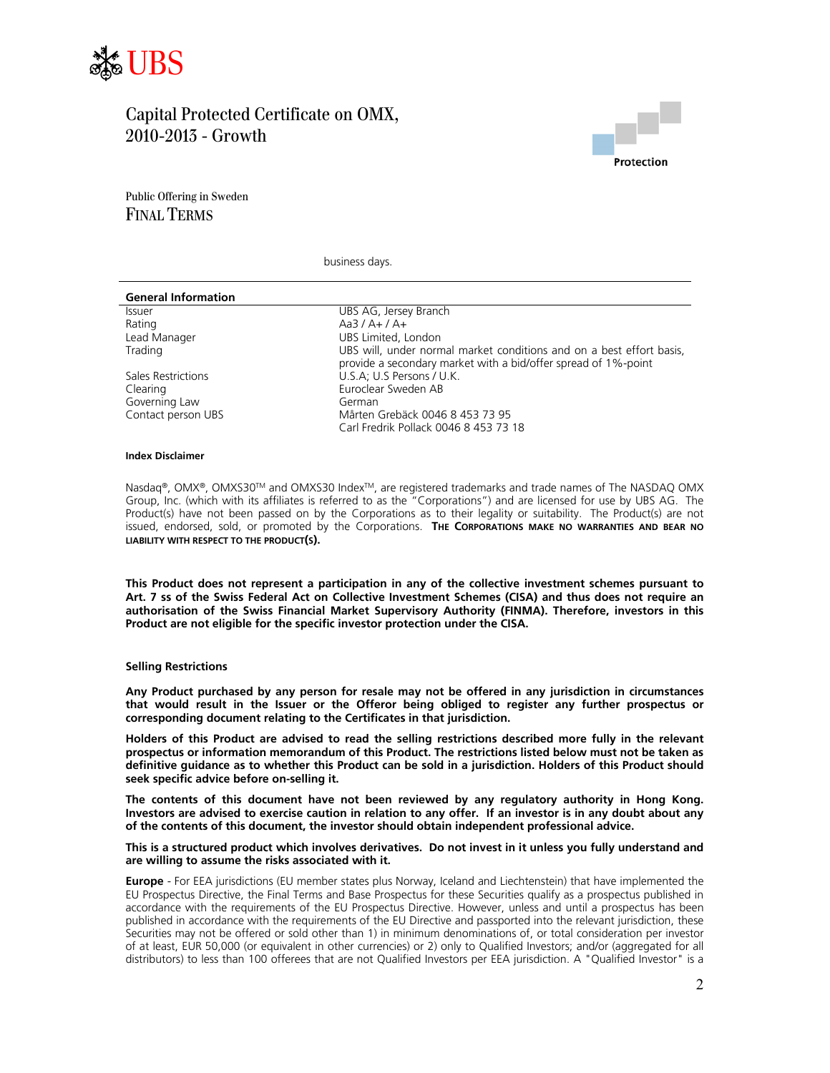



Public Offering in Sweden FINAL TERMS

business days.

| <b>General Information</b> |                                                                                                                                        |
|----------------------------|----------------------------------------------------------------------------------------------------------------------------------------|
| <b>Issuer</b>              | UBS AG, Jersey Branch                                                                                                                  |
| Rating                     | $Aa3/A+/A+$                                                                                                                            |
| Lead Manager               | UBS Limited, London                                                                                                                    |
| Trading                    | UBS will, under normal market conditions and on a best effort basis,<br>provide a secondary market with a bid/offer spread of 1%-point |
| Sales Restrictions         | U.S.A; U.S Persons / U.K.                                                                                                              |
| Clearing                   | Euroclear Sweden AB                                                                                                                    |
| Governing Law              | German                                                                                                                                 |
| Contact person UBS         | Mårten Grebäck 0046 8 453 73 95                                                                                                        |
|                            | Carl Fredrik Pollack 0046 8 453 73 18                                                                                                  |
|                            |                                                                                                                                        |

#### **Index Disclaimer**

Nasdaq®, OMX®, OMXS30™ and OMXS30 Index™, are registered trademarks and trade names of The NASDAQ OMX Group, Inc. (which with its affiliates is referred to as the "Corporations") and are licensed for use by UBS AG. The Product(s) have not been passed on by the Corporations as to their legality or suitability. The Product(s) are not issued, endorsed, sold, or promoted by the Corporations. **THE CORPORATIONS MAKE NO WARRANTIES AND BEAR NO LIABILITY WITH RESPECT TO THE PRODUCT(S).**

**This Product does not represent a participation in any of the collective investment schemes pursuant to Art. 7 ss of the Swiss Federal Act on Collective Investment Schemes (CISA) and thus does not require an authorisation of the Swiss Financial Market Supervisory Authority (FINMA). Therefore, investors in this Product are not eligible for the specific investor protection under the CISA.** 

#### **Selling Restrictions**

**Any Product purchased by any person for resale may not be offered in any jurisdiction in circumstances that would result in the Issuer or the Offeror being obliged to register any further prospectus or corresponding document relating to the Certificates in that jurisdiction.** 

**Holders of this Product are advised to read the selling restrictions described more fully in the relevant prospectus or information memorandum of this Product. The restrictions listed below must not be taken as definitive guidance as to whether this Product can be sold in a jurisdiction. Holders of this Product should seek specific advice before on-selling it.** 

**The contents of this document have not been reviewed by any regulatory authority in Hong Kong. Investors are advised to exercise caution in relation to any offer. If an investor is in any doubt about any of the contents of this document, the investor should obtain independent professional advice.** 

### **This is a structured product which involves derivatives. Do not invest in it unless you fully understand and are willing to assume the risks associated with it.**

**Europe** - For EEA jurisdictions (EU member states plus Norway, Iceland and Liechtenstein) that have implemented the EU Prospectus Directive, the Final Terms and Base Prospectus for these Securities qualify as a prospectus published in accordance with the requirements of the EU Prospectus Directive. However, unless and until a prospectus has been published in accordance with the requirements of the EU Directive and passported into the relevant jurisdiction, these Securities may not be offered or sold other than 1) in minimum denominations of, or total consideration per investor of at least, EUR 50,000 (or equivalent in other currencies) or 2) only to Qualified Investors; and/or (aggregated for all distributors) to less than 100 offerees that are not Qualified Investors per EEA jurisdiction. A "Qualified Investor" is a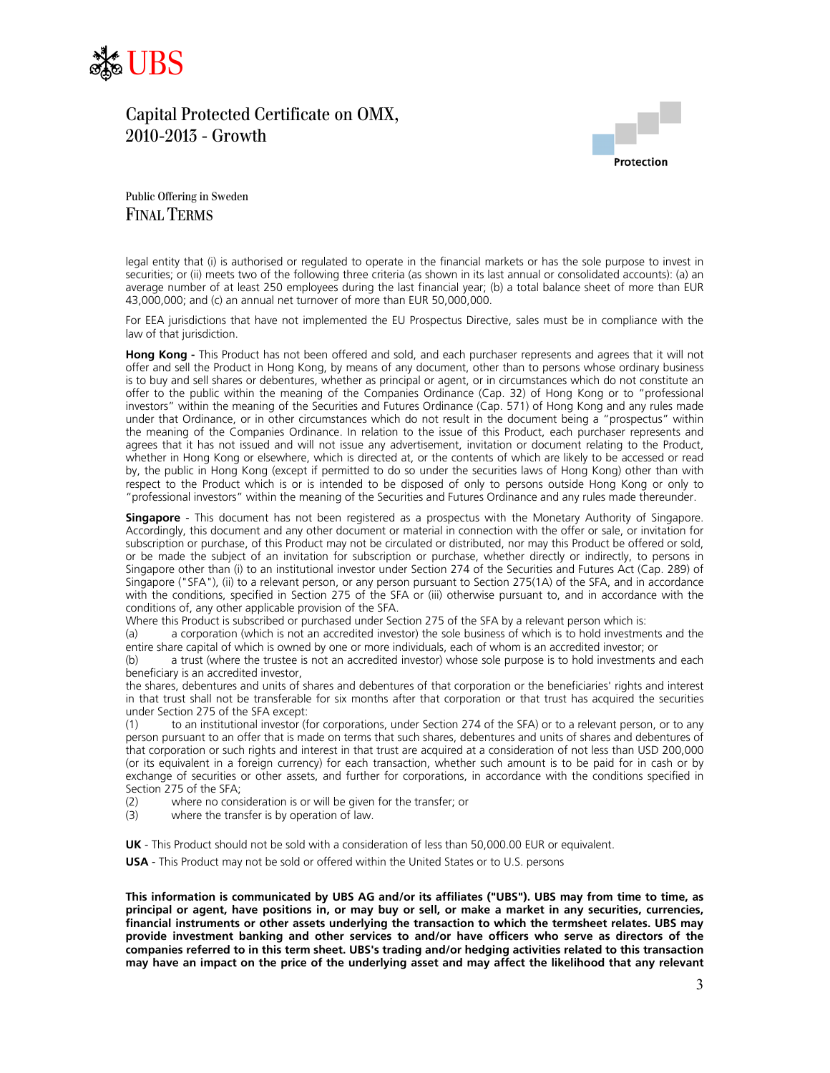



Public Offering in Sweden FINAL TERMS

legal entity that (i) is authorised or regulated to operate in the financial markets or has the sole purpose to invest in securities; or (ii) meets two of the following three criteria (as shown in its last annual or consolidated accounts): (a) an average number of at least 250 employees during the last financial year; (b) a total balance sheet of more than EUR 43,000,000; and (c) an annual net turnover of more than EUR 50,000,000.

For EEA jurisdictions that have not implemented the EU Prospectus Directive, sales must be in compliance with the law of that jurisdiction.

**Hong Kong -** This Product has not been offered and sold, and each purchaser represents and agrees that it will not offer and sell the Product in Hong Kong, by means of any document, other than to persons whose ordinary business is to buy and sell shares or debentures, whether as principal or agent, or in circumstances which do not constitute an offer to the public within the meaning of the Companies Ordinance (Cap. 32) of Hong Kong or to "professional investors" within the meaning of the Securities and Futures Ordinance (Cap. 571) of Hong Kong and any rules made under that Ordinance, or in other circumstances which do not result in the document being a "prospectus" within the meaning of the Companies Ordinance. In relation to the issue of this Product, each purchaser represents and agrees that it has not issued and will not issue any advertisement, invitation or document relating to the Product, whether in Hong Kong or elsewhere, which is directed at, or the contents of which are likely to be accessed or read by, the public in Hong Kong (except if permitted to do so under the securities laws of Hong Kong) other than with respect to the Product which is or is intended to be disposed of only to persons outside Hong Kong or only to "professional investors" within the meaning of the Securities and Futures Ordinance and any rules made thereunder.

**Singapore** - This document has not been registered as a prospectus with the Monetary Authority of Singapore. Accordingly, this document and any other document or material in connection with the offer or sale, or invitation for subscription or purchase, of this Product may not be circulated or distributed, nor may this Product be offered or sold, or be made the subject of an invitation for subscription or purchase, whether directly or indirectly, to persons in Singapore other than (i) to an institutional investor under Section 274 of the Securities and Futures Act (Cap. 289) of Singapore ("SFA"), (ii) to a relevant person, or any person pursuant to Section 275(1A) of the SFA, and in accordance with the conditions, specified in Section 275 of the SFA or (iii) otherwise pursuant to, and in accordance with the conditions of, any other applicable provision of the SFA.

Where this Product is subscribed or purchased under Section 275 of the SFA by a relevant person which is:

(a) a corporation (which is not an accredited investor) the sole business of which is to hold investments and the entire share capital of which is owned by one or more individuals, each of whom is an accredited investor; or

(b) a trust (where the trustee is not an accredited investor) whose sole purpose is to hold investments and each beneficiary is an accredited investor,

the shares, debentures and units of shares and debentures of that corporation or the beneficiaries' rights and interest in that trust shall not be transferable for six months after that corporation or that trust has acquired the securities under Section 275 of the SFA except:

(1) to an institutional investor (for corporations, under Section 274 of the SFA) or to a relevant person, or to any person pursuant to an offer that is made on terms that such shares, debentures and units of shares and debentures of that corporation or such rights and interest in that trust are acquired at a consideration of not less than USD 200,000 (or its equivalent in a foreign currency) for each transaction, whether such amount is to be paid for in cash or by exchange of securities or other assets, and further for corporations, in accordance with the conditions specified in Section 275 of the SFA;

(2) where no consideration is or will be given for the transfer; or

(3) where the transfer is by operation of law.

**UK** - This Product should not be sold with a consideration of less than 50,000.00 EUR or equivalent.

**USA** - This Product may not be sold or offered within the United States or to U.S. persons

**This information is communicated by UBS AG and/or its affiliates ("UBS"). UBS may from time to time, as principal or agent, have positions in, or may buy or sell, or make a market in any securities, currencies, financial instruments or other assets underlying the transaction to which the termsheet relates. UBS may provide investment banking and other services to and/or have officers who serve as directors of the companies referred to in this term sheet. UBS's trading and/or hedging activities related to this transaction may have an impact on the price of the underlying asset and may affect the likelihood that any relevant**